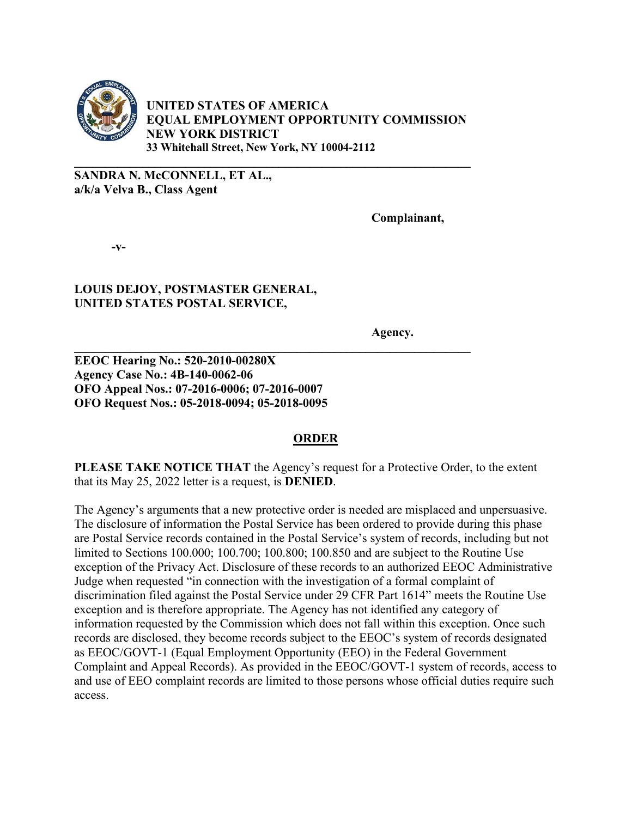

**UNITED STATES OF AMERICA EQUAL EMPLOYMENT OPPORTUNITY COMMISSION NEW YORK DISTRICT 33 Whitehall Street, New York, NY 10004-2112**

**\_\_\_\_\_\_\_\_\_\_\_\_\_\_\_\_\_\_\_\_\_\_\_\_\_\_\_\_\_\_\_\_\_\_\_\_\_\_\_\_\_\_\_\_\_\_\_\_\_\_\_\_\_\_\_\_\_\_\_\_\_\_\_\_**

**\_\_\_\_\_\_\_\_\_\_\_\_\_\_\_\_\_\_\_\_\_\_\_\_\_\_\_\_\_\_\_\_\_\_\_\_\_\_\_\_\_\_\_\_\_\_\_\_\_\_\_\_\_\_\_\_\_\_\_\_\_\_\_\_**

**SANDRA N. McCONNELL, ET AL., a/k/a Velva B., Class Agent** 

**Complainant,**

**-v-** 

## **LOUIS DEJOY, POSTMASTER GENERAL, UNITED STATES POSTAL SERVICE,**

**Agency.** 

**EEOC Hearing No.: 520-2010-00280X Agency Case No.: 4B-140-0062-06 OFO Appeal Nos.: 07-2016-0006; 07-2016-0007 OFO Request Nos.: 05-2018-0094; 05-2018-0095**

## **ORDER**

**PLEASE TAKE NOTICE THAT** the Agency's request for a Protective Order, to the extent that its May 25, 2022 letter is a request, is **DENIED**.

The Agency's arguments that a new protective order is needed are misplaced and unpersuasive. The disclosure of information the Postal Service has been ordered to provide during this phase are Postal Service records contained in the Postal Service's system of records, including but not limited to Sections 100.000; 100.700; 100.800; 100.850 and are subject to the Routine Use exception of the Privacy Act. Disclosure of these records to an authorized EEOC Administrative Judge when requested "in connection with the investigation of a formal complaint of discrimination filed against the Postal Service under 29 CFR Part 1614" meets the Routine Use exception and is therefore appropriate. The Agency has not identified any category of information requested by the Commission which does not fall within this exception. Once such records are disclosed, they become records subject to the EEOC's system of records designated as EEOC/GOVT-1 (Equal Employment Opportunity (EEO) in the Federal Government Complaint and Appeal Records). As provided in the EEOC/GOVT-1 system of records, access to and use of EEO complaint records are limited to those persons whose official duties require such access.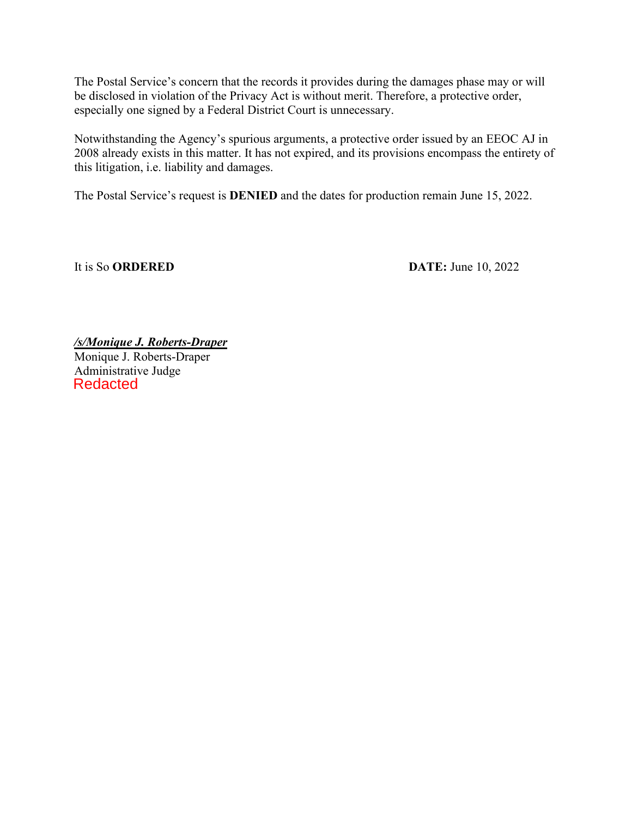The Postal Service's concern that the records it provides during the damages phase may or will be disclosed in violation of the Privacy Act is without merit. Therefore, a protective order, especially one signed by a Federal District Court is unnecessary.

Notwithstanding the Agency's spurious arguments, a protective order issued by an EEOC AJ in 2008 already exists in this matter. It has not expired, and its provisions encompass the entirety of this litigation, i.e. liability and damages.

The Postal Service's request is **DENIED** and the dates for production remain June 15, 2022.

It is So **ORDERED** DATE: June 10, 2022

*/s/Monique J. Roberts-Draper* Monique J. Roberts-Draper Administrative Judge Redacted